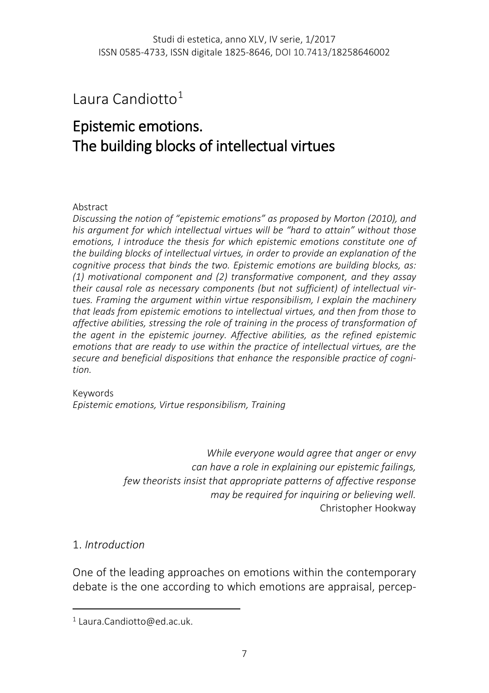## Laura Candiotto $1$

# Epistemic emotions. The building blocks of intellectual virtues

#### Abstract

*Discussing the notion of "epistemic emotions" as proposed by Morton (2010), and his argument for which intellectual virtues will be "hard to attain" without those emotions, I introduce the thesis for which epistemic emotions constitute one of the building blocks of intellectual virtues, in order to provide an explanation of the cognitive process that binds the two. Epistemic emotions are building blocks, as: (1) motivational component and (2) transformative component, and they assay their causal role as necessary components (but not sufficient) of intellectual virtues. Framing the argument within virtue responsibilism, I explain the machinery that leads from epistemic emotions to intellectual virtues, and then from those to affective abilities, stressing the role of training in the process of transformation of the agent in the epistemic journey. Affective abilities, as the refined epistemic emotions that are ready to use within the practice of intellectual virtues, are the secure and beneficial dispositions that enhance the responsible practice of cognition.*

#### Keywords *Epistemic emotions, Virtue responsibilism, Training*

*While everyone would agree that anger or envy can have a role in explaining our epistemic failings, few theorists insist that appropriate patterns of affective response may be required for inquiring or believing well.* Christopher Hookway

#### 1. *Introduction*

l

One of the leading approaches on emotions within the contemporary debate is the one according to which emotions are appraisal, percep-

<span id="page-0-0"></span><sup>1</sup> Laura.Candiotto@ed.ac.uk.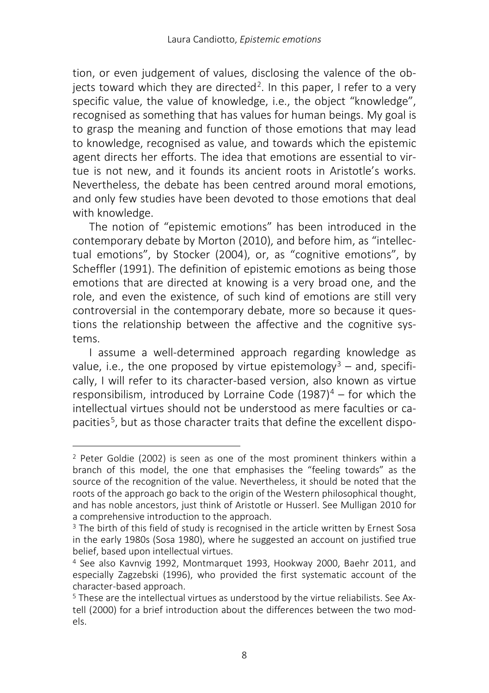tion, or even judgement of values, disclosing the valence of the ob-jects toward which they are directed<sup>[2](#page-1-0)</sup>. In this paper, I refer to a very specific value, the value of knowledge, i.e., the object "knowledge", recognised as something that has values for human beings. My goal is to grasp the meaning and function of those emotions that may lead to knowledge, recognised as value, and towards which the epistemic agent directs her efforts. The idea that emotions are essential to virtue is not new, and it founds its ancient roots in Aristotle's works. Nevertheless, the debate has been centred around moral emotions, and only few studies have been devoted to those emotions that deal with knowledge.

The notion of "epistemic emotions" has been introduced in the contemporary debate by Morton (2010), and before him, as "intellectual emotions", by Stocker (2004), or, as "cognitive emotions", by Scheffler (1991). The definition of epistemic emotions as being those emotions that are directed at knowing is a very broad one, and the role, and even the existence, of such kind of emotions are still very controversial in the contemporary debate, more so because it questions the relationship between the affective and the cognitive systems.

I assume a well-determined approach regarding knowledge as value, i.e., the one proposed by virtue epistemology<sup>3</sup> – and, specifically, I will refer to its character-based version, also known as virtue responsibilism, introduced by Lorraine Code  $(1987)^4$  $(1987)^4$  – for which the intellectual virtues should not be understood as mere faculties or capacities<sup>5</sup>, but as those character traits that define the excellent dispo-

<span id="page-1-0"></span><sup>2</sup> Peter Goldie (2002) is seen as one of the most prominent thinkers within a branch of this model, the one that emphasises the "feeling towards" as the source of the recognition of the value. Nevertheless, it should be noted that the roots of the approach go back to the origin of the Western philosophical thought, and has noble ancestors, just think of Aristotle or Husserl. See Mulligan 2010 for a comprehensive introduction to the approach.

<span id="page-1-1"></span><sup>&</sup>lt;sup>3</sup> The birth of this field of study is recognised in the article written by Ernest Sosa in the early 1980s (Sosa 1980), where he suggested an account on justified true belief, based upon intellectual virtues.

<span id="page-1-2"></span><sup>4</sup> See also Kavnvig 1992, Montmarquet 1993, Hookway 2000, Baehr 2011, and especially Zagzebski (1996), who provided the first systematic account of the character-based approach.

<span id="page-1-3"></span><sup>5</sup> These are the intellectual virtues as understood by the virtue reliabilists. See Axtell (2000) for a brief introduction about the differences between the two models.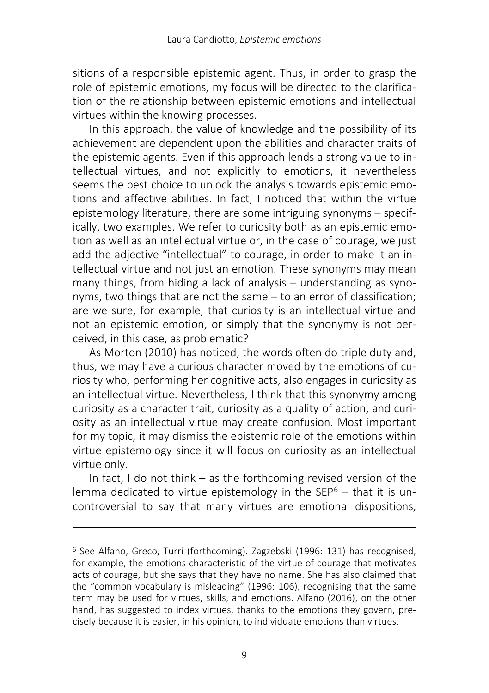sitions of a responsible epistemic agent. Thus, in order to grasp the role of epistemic emotions, my focus will be directed to the clarification of the relationship between epistemic emotions and intellectual virtues within the knowing processes.

In this approach, the value of knowledge and the possibility of its achievement are dependent upon the abilities and character traits of the epistemic agents. Even if this approach lends a strong value to intellectual virtues, and not explicitly to emotions, it nevertheless seems the best choice to unlock the analysis towards epistemic emotions and affective abilities. In fact, I noticed that within the virtue epistemology literature, there are some intriguing synonyms – specifically, two examples. We refer to curiosity both as an epistemic emotion as well as an intellectual virtue or, in the case of courage, we just add the adjective "intellectual" to courage, in order to make it an intellectual virtue and not just an emotion. These synonyms may mean many things, from hiding a lack of analysis – understanding as synonyms, two things that are not the same – to an error of classification; are we sure, for example, that curiosity is an intellectual virtue and not an epistemic emotion, or simply that the synonymy is not perceived, in this case, as problematic?

As Morton (2010) has noticed, the words often do triple duty and, thus, we may have a curious character moved by the emotions of curiosity who, performing her cognitive acts, also engages in curiosity as an intellectual virtue. Nevertheless, I think that this synonymy among curiosity as a character trait, curiosity as a quality of action, and curiosity as an intellectual virtue may create confusion. Most important for my topic, it may dismiss the epistemic role of the emotions within virtue epistemology since it will focus on curiosity as an intellectual virtue only.

In fact, I do not think – as the forthcoming revised version of the lemma dedicated to virtue epistemology in the  $SEP<sup>6</sup> - that$  $SEP<sup>6</sup> - that$  $SEP<sup>6</sup> - that$  it is uncontroversial to say that many virtues are emotional dispositions,

<span id="page-2-0"></span><sup>6</sup> See Alfano, Greco, Turri (forthcoming). Zagzebski (1996: 131) has recognised, for example, the emotions characteristic of the virtue of courage that motivates acts of courage, but she says that they have no name. She has also claimed that the "common vocabulary is misleading" (1996: 106), recognising that the same term may be used for virtues, skills, and emotions. Alfano (2016), on the other hand, has suggested to index virtues, thanks to the emotions they govern, precisely because it is easier, in his opinion, to individuate emotions than virtues.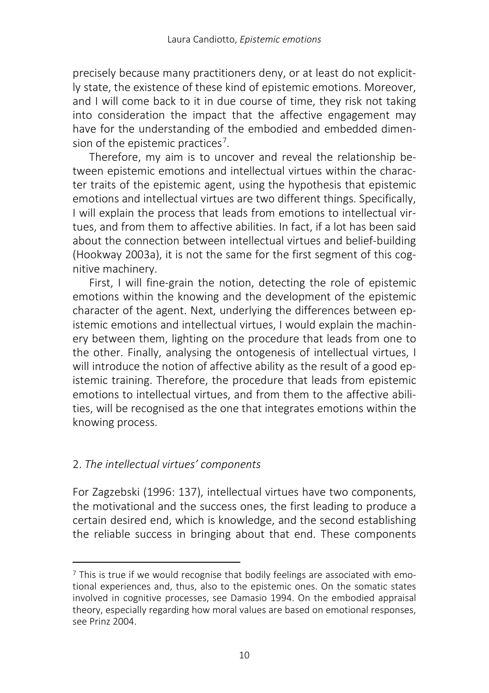precisely because many practitioners deny, or at least do not explicitly state, the existence of these kind of epistemic emotions. Moreover, and I will come back to it in due course of time, they risk not taking into consideration the impact that the affective engagement may have for the understanding of the embodied and embedded dimen-sion of the epistemic practices<sup>[7](#page-3-0)</sup>.

Therefore, my aim is to uncover and reveal the relationship between epistemic emotions and intellectual virtues within the character traits of the epistemic agent, using the hypothesis that epistemic emotions and intellectual virtues are two different things. Specifically, I will explain the process that leads from emotions to intellectual virtues, and from them to affective abilities. In fact, if a lot has been said about the connection between intellectual virtues and belief-building (Hookway 2003a), it is not the same for the first segment of this cognitive machinery.

First, I will fine-grain the notion, detecting the role of epistemic emotions within the knowing and the development of the epistemic character of the agent. Next, underlying the differences between epistemic emotions and intellectual virtues, I would explain the machinery between them, lighting on the procedure that leads from one to the other. Finally, analysing the ontogenesis of intellectual virtues, I will introduce the notion of affective ability as the result of a good epistemic training. Therefore, the procedure that leads from epistemic emotions to intellectual virtues, and from them to the affective abilities, will be recognised as the one that integrates emotions within the knowing process.

## 2. *The intellectual virtues' components*

l

For Zagzebski (1996: 137), intellectual virtues have two components, the motivational and the success ones, the first leading to produce a certain desired end, which is knowledge, and the second establishing the reliable success in bringing about that end. These components

<span id="page-3-0"></span> $7$  This is true if we would recognise that bodily feelings are associated with emotional experiences and, thus, also to the epistemic ones. On the somatic states involved in cognitive processes, see Damasio 1994. On the embodied appraisal theory, especially regarding how moral values are based on emotional responses, see Prinz 2004.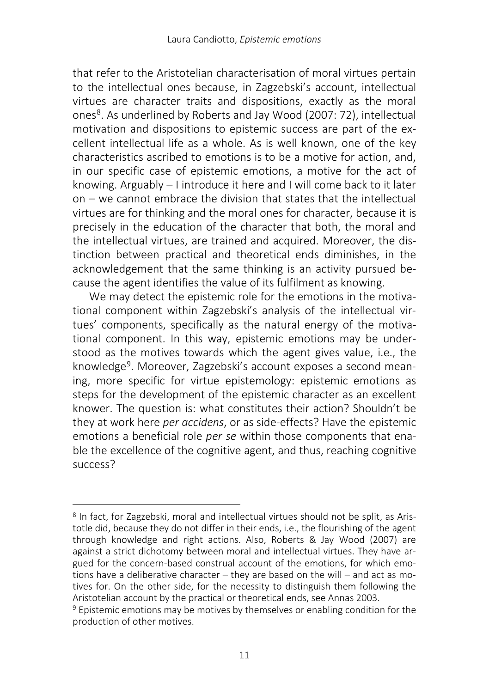that refer to the Aristotelian characterisation of moral virtues pertain to the intellectual ones because, in Zagzebski's account, intellectual virtues are character traits and dispositions, exactly as the moral ones<sup>[8](#page-4-0)</sup>. As underlined by Roberts and Jay Wood (2007: 72), intellectual motivation and dispositions to epistemic success are part of the excellent intellectual life as a whole. As is well known, one of the key characteristics ascribed to emotions is to be a motive for action, and, in our specific case of epistemic emotions, a motive for the act of knowing. Arguably – I introduce it here and I will come back to it later on – we cannot embrace the division that states that the intellectual virtues are for thinking and the moral ones for character, because it is precisely in the education of the character that both, the moral and the intellectual virtues, are trained and acquired. Moreover, the distinction between practical and theoretical ends diminishes, in the acknowledgement that the same thinking is an activity pursued because the agent identifies the value of its fulfilment as knowing.

We may detect the epistemic role for the emotions in the motivational component within Zagzebski's analysis of the intellectual virtues' components, specifically as the natural energy of the motivational component. In this way, epistemic emotions may be understood as the motives towards which the agent gives value, i.e., the knowledge<sup>[9](#page-4-1)</sup>. Moreover, Zagzebski's account exposes a second meaning, more specific for virtue epistemology: epistemic emotions as steps for the development of the epistemic character as an excellent knower. The question is: what constitutes their action? Shouldn't be they at work here *per accidens*, or as side-effects? Have the epistemic emotions a beneficial role *per se* within those components that enable the excellence of the cognitive agent, and thus, reaching cognitive success?

<span id="page-4-0"></span><sup>8</sup> In fact, for Zagzebski, moral and intellectual virtues should not be split, as Aristotle did, because they do not differ in their ends, i.e., the flourishing of the agent through knowledge and right actions. Also, Roberts & Jay Wood (2007) are against a strict dichotomy between moral and intellectual virtues. They have argued for the concern-based construal account of the emotions, for which emotions have a deliberative character – they are based on the will – and act as motives for. On the other side, for the necessity to distinguish them following the Aristotelian account by the practical or theoretical ends, see Annas 2003.

<span id="page-4-1"></span><sup>&</sup>lt;sup>9</sup> Epistemic emotions may be motives by themselves or enabling condition for the production of other motives.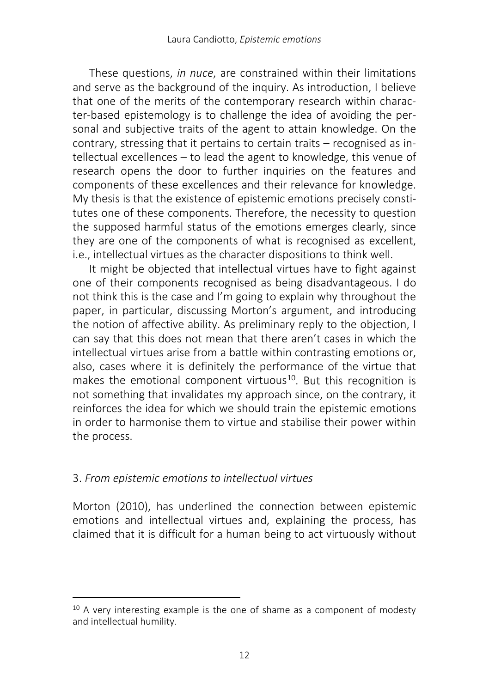These questions, *in nuce*, are constrained within their limitations and serve as the background of the inquiry. As introduction, I believe that one of the merits of the contemporary research within character-based epistemology is to challenge the idea of avoiding the personal and subjective traits of the agent to attain knowledge. On the contrary, stressing that it pertains to certain traits – recognised as intellectual excellences – to lead the agent to knowledge, this venue of research opens the door to further inquiries on the features and components of these excellences and their relevance for knowledge. My thesis is that the existence of epistemic emotions precisely constitutes one of these components. Therefore, the necessity to question the supposed harmful status of the emotions emerges clearly, since they are one of the components of what is recognised as excellent, i.e., intellectual virtues as the character dispositions to think well.

It might be objected that intellectual virtues have to fight against one of their components recognised as being disadvantageous. I do not think this is the case and I'm going to explain why throughout the paper, in particular, discussing Morton's argument, and introducing the notion of affective ability. As preliminary reply to the objection, I can say that this does not mean that there aren't cases in which the intellectual virtues arise from a battle within contrasting emotions or, also, cases where it is definitely the performance of the virtue that makes the emotional component virtuous<sup>10</sup>. But this recognition is not something that invalidates my approach since, on the contrary, it reinforces the idea for which we should train the epistemic emotions in order to harmonise them to virtue and stabilise their power within the process.

## 3. *From epistemic emotions to intellectual virtues*

l

Morton (2010), has underlined the connection between epistemic emotions and intellectual virtues and, explaining the process, has claimed that it is difficult for a human being to act virtuously without

<span id="page-5-0"></span> $10$  A very interesting example is the one of shame as a component of modesty and intellectual humility.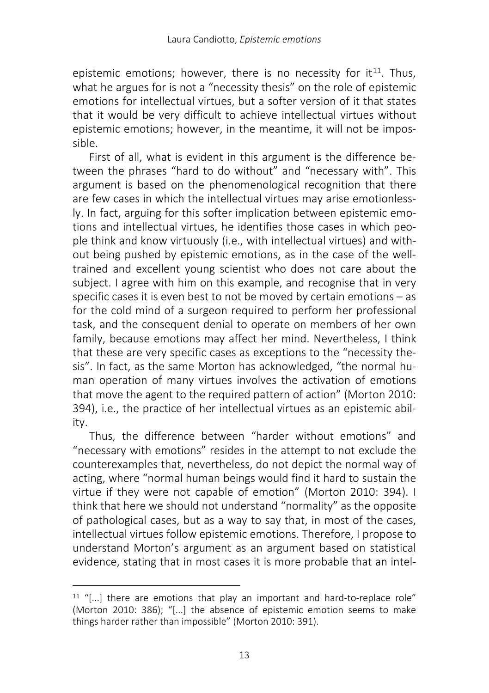epistemic emotions; however, there is no necessity for  $it^{11}$  $it^{11}$  $it^{11}$ . Thus, what he argues for is not a "necessity thesis" on the role of epistemic emotions for intellectual virtues, but a softer version of it that states that it would be very difficult to achieve intellectual virtues without epistemic emotions; however, in the meantime, it will not be impossible.

First of all, what is evident in this argument is the difference between the phrases "hard to do without" and "necessary with". This argument is based on the phenomenological recognition that there are few cases in which the intellectual virtues may arise emotionlessly. In fact, arguing for this softer implication between epistemic emotions and intellectual virtues, he identifies those cases in which people think and know virtuously (i.e., with intellectual virtues) and without being pushed by epistemic emotions, as in the case of the welltrained and excellent young scientist who does not care about the subject. I agree with him on this example, and recognise that in very specific cases it is even best to not be moved by certain emotions – as for the cold mind of a surgeon required to perform her professional task, and the consequent denial to operate on members of her own family, because emotions may affect her mind. Nevertheless, I think that these are very specific cases as exceptions to the "necessity thesis". In fact, as the same Morton has acknowledged, "the normal human operation of many virtues involves the activation of emotions that move the agent to the required pattern of action" (Morton 2010: 394), i.e., the practice of her intellectual virtues as an epistemic ability.

Thus, the difference between "harder without emotions" and "necessary with emotions" resides in the attempt to not exclude the counterexamples that, nevertheless, do not depict the normal way of acting, where "normal human beings would find it hard to sustain the virtue if they were not capable of emotion" (Morton 2010: 394). I think that here we should not understand "normality" as the opposite of pathological cases, but as a way to say that, in most of the cases, intellectual virtues follow epistemic emotions. Therefore, I propose to understand Morton's argument as an argument based on statistical evidence, stating that in most cases it is more probable that an intel-

<span id="page-6-0"></span> $11$  "[...] there are emotions that play an important and hard-to-replace role" (Morton 2010: 386); "[...] the absence of epistemic emotion seems to make things harder rather than impossible" (Morton 2010: 391).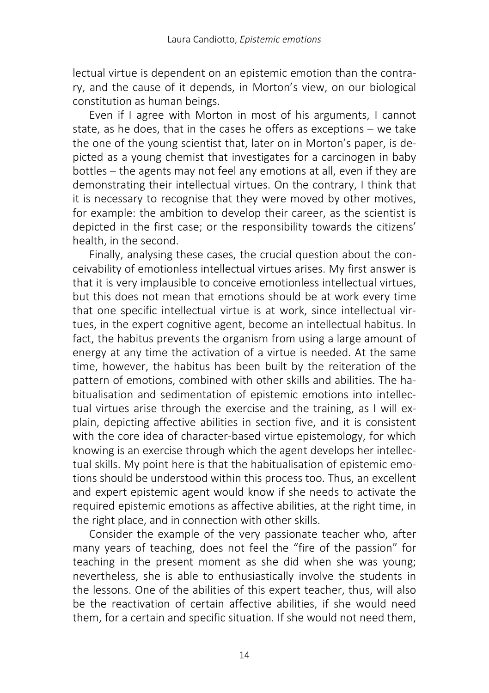lectual virtue is dependent on an epistemic emotion than the contrary, and the cause of it depends, in Morton's view, on our biological constitution as human beings.

Even if I agree with Morton in most of his arguments, I cannot state, as he does, that in the cases he offers as exceptions – we take the one of the young scientist that, later on in Morton's paper, is depicted as a young chemist that investigates for a carcinogen in baby bottles – the agents may not feel any emotions at all, even if they are demonstrating their intellectual virtues. On the contrary, I think that it is necessary to recognise that they were moved by other motives, for example: the ambition to develop their career, as the scientist is depicted in the first case; or the responsibility towards the citizens' health, in the second.

Finally, analysing these cases, the crucial question about the conceivability of emotionless intellectual virtues arises. My first answer is that it is very implausible to conceive emotionless intellectual virtues, but this does not mean that emotions should be at work every time that one specific intellectual virtue is at work, since intellectual virtues, in the expert cognitive agent, become an intellectual habitus. In fact, the habitus prevents the organism from using a large amount of energy at any time the activation of a virtue is needed. At the same time, however, the habitus has been built by the reiteration of the pattern of emotions, combined with other skills and abilities. The habitualisation and sedimentation of epistemic emotions into intellectual virtues arise through the exercise and the training, as I will explain, depicting affective abilities in section five, and it is consistent with the core idea of character-based virtue epistemology, for which knowing is an exercise through which the agent develops her intellectual skills. My point here is that the habitualisation of epistemic emotions should be understood within this process too. Thus, an excellent and expert epistemic agent would know if she needs to activate the required epistemic emotions as affective abilities, at the right time, in the right place, and in connection with other skills.

Consider the example of the very passionate teacher who, after many years of teaching, does not feel the "fire of the passion" for teaching in the present moment as she did when she was young; nevertheless, she is able to enthusiastically involve the students in the lessons. One of the abilities of this expert teacher, thus, will also be the reactivation of certain affective abilities, if she would need them, for a certain and specific situation. If she would not need them,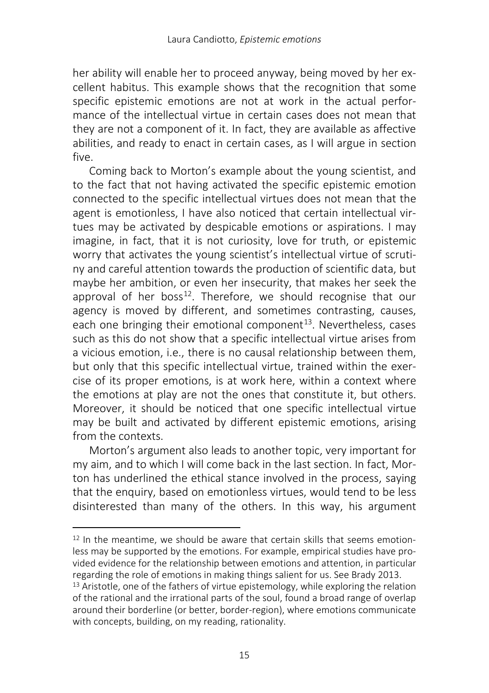her ability will enable her to proceed anyway, being moved by her excellent habitus. This example shows that the recognition that some specific epistemic emotions are not at work in the actual performance of the intellectual virtue in certain cases does not mean that they are not a component of it. In fact, they are available as affective abilities, and ready to enact in certain cases, as I will argue in section five.

Coming back to Morton's example about the young scientist, and to the fact that not having activated the specific epistemic emotion connected to the specific intellectual virtues does not mean that the agent is emotionless, I have also noticed that certain intellectual virtues may be activated by despicable emotions or aspirations. I may imagine, in fact, that it is not curiosity, love for truth, or epistemic worry that activates the young scientist's intellectual virtue of scrutiny and careful attention towards the production of scientific data, but maybe her ambition, or even her insecurity, that makes her seek the approval of her boss<sup>12</sup>. Therefore, we should recognise that our agency is moved by different, and sometimes contrasting, causes, each one bringing their emotional component<sup>13</sup>. Nevertheless, cases such as this do not show that a specific intellectual virtue arises from a vicious emotion, i.e., there is no causal relationship between them, but only that this specific intellectual virtue, trained within the exercise of its proper emotions, is at work here, within a context where the emotions at play are not the ones that constitute it, but others. Moreover, it should be noticed that one specific intellectual virtue may be built and activated by different epistemic emotions, arising from the contexts.

Morton's argument also leads to another topic, very important for my aim, and to which I will come back in the last section. In fact, Morton has underlined the ethical stance involved in the process, saying that the enquiry, based on emotionless virtues, would tend to be less disinterested than many of the others. In this way, his argument

<span id="page-8-0"></span> $12$  In the meantime, we should be aware that certain skills that seems emotionless may be supported by the emotions. For example, empirical studies have provided evidence for the relationship between emotions and attention, in particular regarding the role of emotions in making things salient for us. See Brady 2013.

<span id="page-8-1"></span><sup>&</sup>lt;sup>13</sup> Aristotle, one of the fathers of virtue epistemology, while exploring the relation of the rational and the irrational parts of the soul, found a broad range of overlap around their borderline (or better, border-region), where emotions communicate with concepts, building, on my reading, rationality.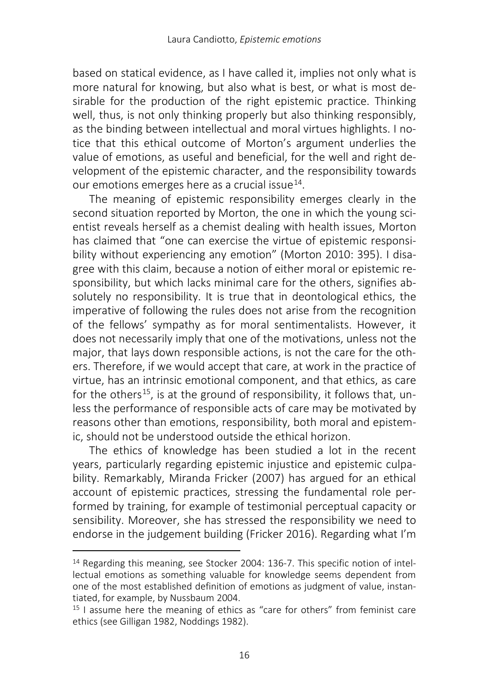based on statical evidence, as I have called it, implies not only what is more natural for knowing, but also what is best, or what is most desirable for the production of the right epistemic practice. Thinking well, thus, is not only thinking properly but also thinking responsibly, as the binding between intellectual and moral virtues highlights. I notice that this ethical outcome of Morton's argument underlies the value of emotions, as useful and beneficial, for the well and right development of the epistemic character, and the responsibility towards our emotions emerges here as a crucial issue<sup>[14](#page-9-0)</sup>.

The meaning of epistemic responsibility emerges clearly in the second situation reported by Morton, the one in which the young scientist reveals herself as a chemist dealing with health issues, Morton has claimed that "one can exercise the virtue of epistemic responsibility without experiencing any emotion" (Morton 2010: 395). I disagree with this claim, because a notion of either moral or epistemic responsibility, but which lacks minimal care for the others, signifies absolutely no responsibility. It is true that in deontological ethics, the imperative of following the rules does not arise from the recognition of the fellows' sympathy as for moral sentimentalists. However, it does not necessarily imply that one of the motivations, unless not the major, that lays down responsible actions, is not the care for the others. Therefore, if we would accept that care, at work in the practice of virtue, has an intrinsic emotional component, and that ethics, as care for the others<sup>[15](#page-9-1)</sup>, is at the ground of responsibility, it follows that, unless the performance of responsible acts of care may be motivated by reasons other than emotions, responsibility, both moral and epistemic, should not be understood outside the ethical horizon.

The ethics of knowledge has been studied a lot in the recent years, particularly regarding epistemic injustice and epistemic culpability. Remarkably, Miranda Fricker (2007) has argued for an ethical account of epistemic practices, stressing the fundamental role performed by training, for example of testimonial perceptual capacity or sensibility. Moreover, she has stressed the responsibility we need to endorse in the judgement building (Fricker 2016). Regarding what I'm

<span id="page-9-0"></span><sup>14</sup> Regarding this meaning, see Stocker 2004: 136-7. This specific notion of intellectual emotions as something valuable for knowledge seems dependent from one of the most established definition of emotions as judgment of value, instantiated, for example, by Nussbaum 2004.

<span id="page-9-1"></span> $15$  I assume here the meaning of ethics as "care for others" from feminist care ethics (see Gilligan 1982, Noddings 1982).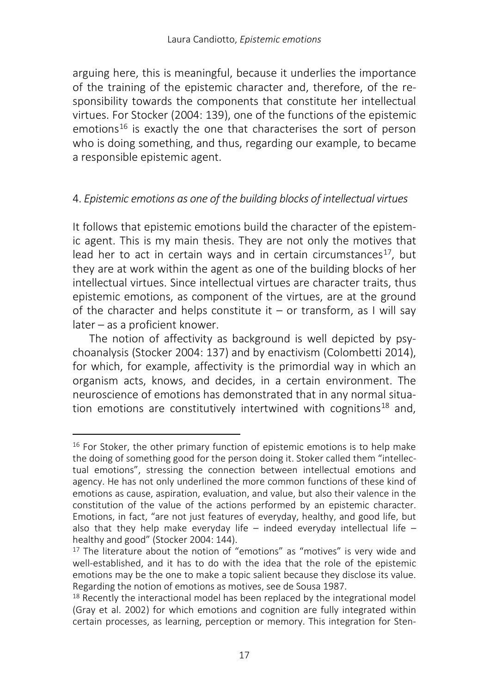arguing here, this is meaningful, because it underlies the importance of the training of the epistemic character and, therefore, of the responsibility towards the components that constitute her intellectual virtues. For Stocker (2004: 139), one of the functions of the epistemic emotions<sup>[16](#page-10-0)</sup> is exactly the one that characterises the sort of person who is doing something, and thus, regarding our example, to became a responsible epistemic agent.

## 4. *Epistemic emotions as one of the building blocks of intellectual virtues*

It follows that epistemic emotions build the character of the epistemic agent. This is my main thesis. They are not only the motives that lead her to act in certain ways and in certain circumstances<sup>[17](#page-10-1)</sup>, but they are at work within the agent as one of the building blocks of her intellectual virtues. Since intellectual virtues are character traits, thus epistemic emotions, as component of the virtues, are at the ground of the character and helps constitute it – or transform, as I will say later – as a proficient knower.

The notion of affectivity as background is well depicted by psychoanalysis (Stocker 2004: 137) and by enactivism (Colombetti 2014), for which, for example, affectivity is the primordial way in which an organism acts, knows, and decides, in a certain environment. The neuroscience of emotions has demonstrated that in any normal situa-tion emotions are constitutively intertwined with cognitions<sup>[18](#page-10-2)</sup> and.

<span id="page-10-0"></span><sup>16</sup> For Stoker, the other primary function of epistemic emotions is to help make the doing of something good for the person doing it. Stoker called them "intellectual emotions", stressing the connection between intellectual emotions and agency. He has not only underlined the more common functions of these kind of emotions as cause, aspiration, evaluation, and value, but also their valence in the constitution of the value of the actions performed by an epistemic character. Emotions, in fact, "are not just features of everyday, healthy, and good life, but also that they help make everyday life – indeed everyday intellectual life – healthy and good" (Stocker 2004: 144).

<span id="page-10-1"></span><sup>17</sup> The literature about the notion of "emotions" as "motives" is very wide and well-established, and it has to do with the idea that the role of the epistemic emotions may be the one to make a topic salient because they disclose its value. Regarding the notion of emotions as motives, see de Sousa 1987.

<span id="page-10-2"></span><sup>&</sup>lt;sup>18</sup> Recently the interactional model has been replaced by the integrational model (Gray et al. 2002) for which emotions and cognition are fully integrated within certain processes, as learning, perception or memory. This integration for Sten-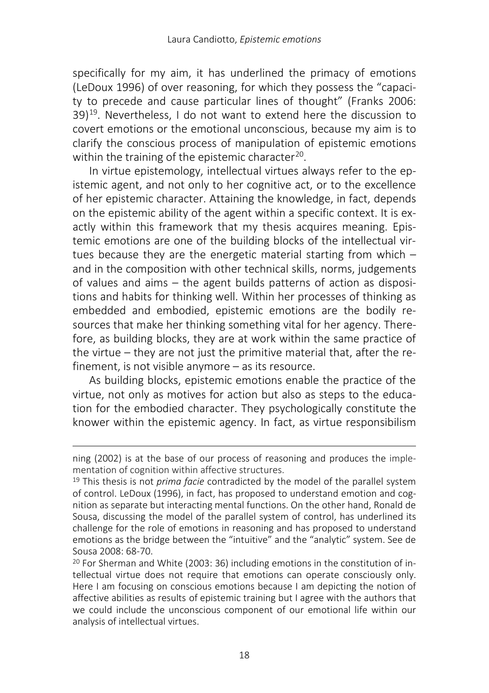specifically for my aim, it has underlined the primacy of emotions (LeDoux 1996) of over reasoning, for which they possess the "capacity to precede and cause particular lines of thought" (Franks 2006: 39)[19.](#page-11-0) Nevertheless, I do not want to extend here the discussion to covert emotions or the emotional unconscious, because my aim is to clarify the conscious process of manipulation of epistemic emotions within the training of the epistemic character<sup>20</sup>.

In virtue epistemology, intellectual virtues always refer to the epistemic agent, and not only to her cognitive act, or to the excellence of her epistemic character. Attaining the knowledge, in fact, depends on the epistemic ability of the agent within a specific context. It is exactly within this framework that my thesis acquires meaning. Epistemic emotions are one of the building blocks of the intellectual virtues because they are the energetic material starting from which – and in the composition with other technical skills, norms, judgements of values and aims – the agent builds patterns of action as dispositions and habits for thinking well. Within her processes of thinking as embedded and embodied, epistemic emotions are the bodily resources that make her thinking something vital for her agency. Therefore, as building blocks, they are at work within the same practice of the virtue – they are not just the primitive material that, after the refinement, is not visible anymore – as its resource.

As building blocks, epistemic emotions enable the practice of the virtue, not only as motives for action but also as steps to the education for the embodied character. They psychologically constitute the knower within the epistemic agency. In fact, as virtue responsibilism

ning (2002) is at the base of our process of reasoning and produces the implementation of cognition within affective structures.

<span id="page-11-0"></span><sup>19</sup> This thesis is not *prima facie* contradicted by the model of the parallel system of control. LeDoux (1996), in fact, has proposed to understand emotion and cognition as separate but interacting mental functions. On the other hand, Ronald de Sousa, discussing the model of the parallel system of control, has underlined its challenge for the role of emotions in reasoning and has proposed to understand emotions as the bridge between the "intuitive" and the "analytic" system. See de Sousa 2008: 68-70.

<span id="page-11-1"></span><sup>20</sup> For Sherman and White (2003: 36) including emotions in the constitution of intellectual virtue does not require that emotions can operate consciously only. Here I am focusing on conscious emotions because I am depicting the notion of affective abilities as results of epistemic training but I agree with the authors that we could include the unconscious component of our emotional life within our analysis of intellectual virtues.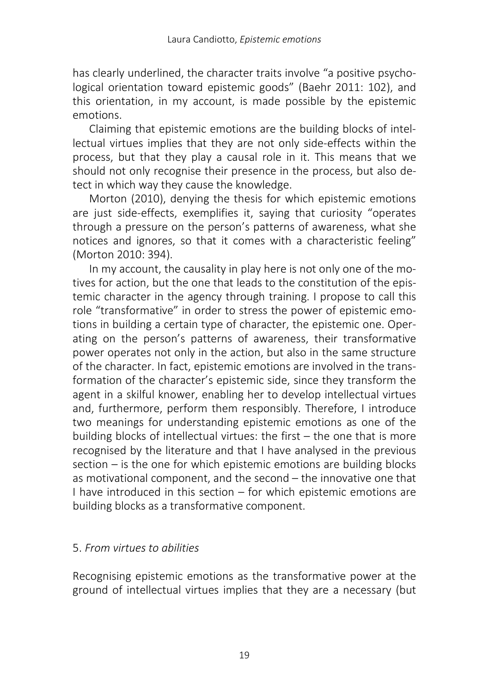has clearly underlined, the character traits involve "a positive psychological orientation toward epistemic goods" (Baehr 2011: 102), and this orientation, in my account, is made possible by the epistemic emotions.

Claiming that epistemic emotions are the building blocks of intellectual virtues implies that they are not only side-effects within the process, but that they play a causal role in it. This means that we should not only recognise their presence in the process, but also detect in which way they cause the knowledge.

Morton (2010), denying the thesis for which epistemic emotions are just side-effects, exemplifies it, saying that curiosity "operates through a pressure on the person's patterns of awareness, what she notices and ignores, so that it comes with a characteristic feeling" (Morton 2010: 394).

In my account, the causality in play here is not only one of the motives for action, but the one that leads to the constitution of the epistemic character in the agency through training. I propose to call this role "transformative" in order to stress the power of epistemic emotions in building a certain type of character, the epistemic one. Operating on the person's patterns of awareness, their transformative power operates not only in the action, but also in the same structure of the character. In fact, epistemic emotions are involved in the transformation of the character's epistemic side, since they transform the agent in a skilful knower, enabling her to develop intellectual virtues and, furthermore, perform them responsibly. Therefore, I introduce two meanings for understanding epistemic emotions as one of the building blocks of intellectual virtues: the first – the one that is more recognised by the literature and that I have analysed in the previous section – is the one for which epistemic emotions are building blocks as motivational component, and the second – the innovative one that I have introduced in this section – for which epistemic emotions are building blocks as a transformative component.

## 5. *From virtues to abilities*

Recognising epistemic emotions as the transformative power at the ground of intellectual virtues implies that they are a necessary (but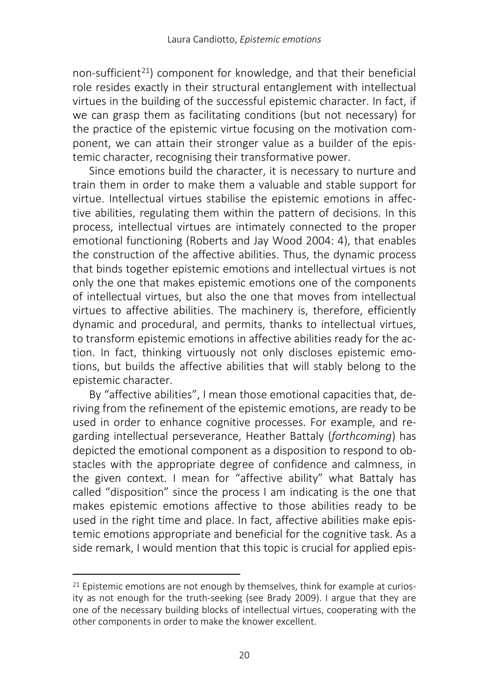non-sufficient<sup>21</sup>) component for knowledge, and that their beneficial role resides exactly in their structural entanglement with intellectual virtues in the building of the successful epistemic character. In fact, if we can grasp them as facilitating conditions (but not necessary) for the practice of the epistemic virtue focusing on the motivation component, we can attain their stronger value as a builder of the epistemic character, recognising their transformative power.

Since emotions build the character, it is necessary to nurture and train them in order to make them a valuable and stable support for virtue. Intellectual virtues stabilise the epistemic emotions in affective abilities, regulating them within the pattern of decisions. In this process, intellectual virtues are intimately connected to the proper emotional functioning (Roberts and Jay Wood 2004: 4), that enables the construction of the affective abilities. Thus, the dynamic process that binds together epistemic emotions and intellectual virtues is not only the one that makes epistemic emotions one of the components of intellectual virtues, but also the one that moves from intellectual virtues to affective abilities. The machinery is, therefore, efficiently dynamic and procedural, and permits, thanks to intellectual virtues, to transform epistemic emotions in affective abilities ready for the action. In fact, thinking virtuously not only discloses epistemic emotions, but builds the affective abilities that will stably belong to the epistemic character.

By "affective abilities", I mean those emotional capacities that, deriving from the refinement of the epistemic emotions, are ready to be used in order to enhance cognitive processes. For example, and regarding intellectual perseverance, Heather Battaly (*forthcoming*) has depicted the emotional component as a disposition to respond to obstacles with the appropriate degree of confidence and calmness, in the given context. I mean for "affective ability" what Battaly has called "disposition" since the process I am indicating is the one that makes epistemic emotions affective to those abilities ready to be used in the right time and place. In fact, affective abilities make epistemic emotions appropriate and beneficial for the cognitive task. As a side remark, I would mention that this topic is crucial for applied epis-

<span id="page-13-0"></span><sup>&</sup>lt;sup>21</sup> Epistemic emotions are not enough by themselves, think for example at curiosity as not enough for the truth-seeking (see Brady 2009). I argue that they are one of the necessary building blocks of intellectual virtues, cooperating with the other components in order to make the knower excellent.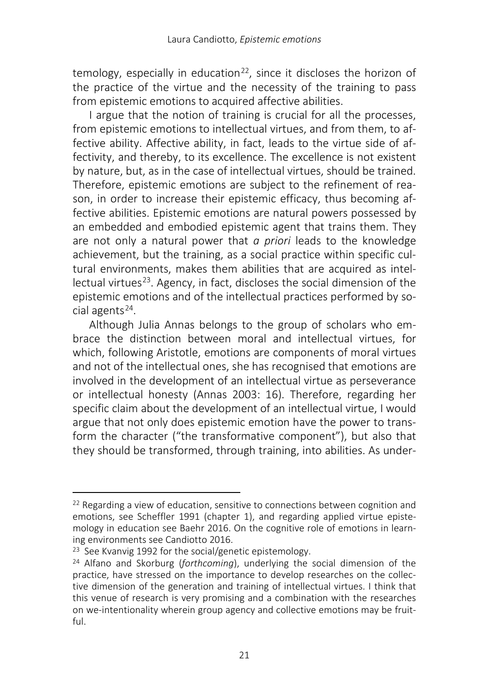temology, especially in education<sup>22</sup>, since it discloses the horizon of the practice of the virtue and the necessity of the training to pass from epistemic emotions to acquired affective abilities.

I argue that the notion of training is crucial for all the processes, from epistemic emotions to intellectual virtues, and from them, to affective ability. Affective ability, in fact, leads to the virtue side of affectivity, and thereby, to its excellence. The excellence is not existent by nature, but, as in the case of intellectual virtues, should be trained. Therefore, epistemic emotions are subject to the refinement of reason, in order to increase their epistemic efficacy, thus becoming affective abilities. Epistemic emotions are natural powers possessed by an embedded and embodied epistemic agent that trains them. They are not only a natural power that *a priori* leads to the knowledge achievement, but the training, as a social practice within specific cultural environments, makes them abilities that are acquired as intel $l$ ectual virtues<sup>[23](#page-14-1)</sup>. Agency, in fact, discloses the social dimension of the epistemic emotions and of the intellectual practices performed by social agents $24$ .

Although Julia Annas belongs to the group of scholars who embrace the distinction between moral and intellectual virtues, for which, following Aristotle, emotions are components of moral virtues and not of the intellectual ones, she has recognised that emotions are involved in the development of an intellectual virtue as perseverance or intellectual honesty (Annas 2003: 16). Therefore, regarding her specific claim about the development of an intellectual virtue, I would argue that not only does epistemic emotion have the power to transform the character ("the transformative component"), but also that they should be transformed, through training, into abilities. As under-

<span id="page-14-0"></span> $22$  Regarding a view of education, sensitive to connections between cognition and emotions, see Scheffler 1991 (chapter 1), and regarding applied virtue epistemology in education see Baehr 2016. On the cognitive role of emotions in learning environments see Candiotto 2016.

<span id="page-14-1"></span> $23$  See Kvanvig 1992 for the social/genetic epistemology.

<span id="page-14-2"></span><sup>24</sup> Alfano and Skorburg (*forthcoming*), underlying the social dimension of the practice, have stressed on the importance to develop researches on the collective dimension of the generation and training of intellectual virtues. I think that this venue of research is very promising and a combination with the researches on we-intentionality wherein group agency and collective emotions may be fruitful.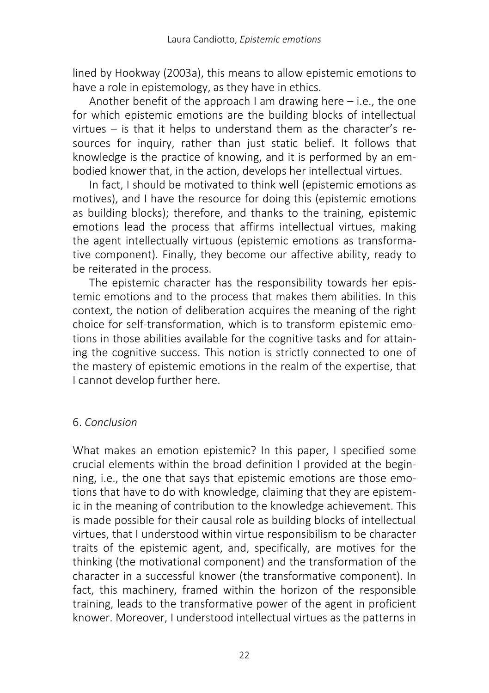lined by Hookway (2003a), this means to allow epistemic emotions to have a role in epistemology, as they have in ethics.

Another benefit of the approach I am drawing here – i.e., the one for which epistemic emotions are the building blocks of intellectual virtues – is that it helps to understand them as the character's resources for inquiry, rather than just static belief. It follows that knowledge is the practice of knowing, and it is performed by an embodied knower that, in the action, develops her intellectual virtues.

In fact, I should be motivated to think well (epistemic emotions as motives), and I have the resource for doing this (epistemic emotions as building blocks); therefore, and thanks to the training, epistemic emotions lead the process that affirms intellectual virtues, making the agent intellectually virtuous (epistemic emotions as transformative component). Finally, they become our affective ability, ready to be reiterated in the process.

The epistemic character has the responsibility towards her epistemic emotions and to the process that makes them abilities. In this context, the notion of deliberation acquires the meaning of the right choice for self-transformation, which is to transform epistemic emotions in those abilities available for the cognitive tasks and for attaining the cognitive success. This notion is strictly connected to one of the mastery of epistemic emotions in the realm of the expertise, that I cannot develop further here.

## 6. *Conclusion*

What makes an emotion epistemic? In this paper, I specified some crucial elements within the broad definition I provided at the beginning, i.e., the one that says that epistemic emotions are those emotions that have to do with knowledge, claiming that they are epistemic in the meaning of contribution to the knowledge achievement. This is made possible for their causal role as building blocks of intellectual virtues, that I understood within virtue responsibilism to be character traits of the epistemic agent, and, specifically, are motives for the thinking (the motivational component) and the transformation of the character in a successful knower (the transformative component). In fact, this machinery, framed within the horizon of the responsible training, leads to the transformative power of the agent in proficient knower. Moreover, I understood intellectual virtues as the patterns in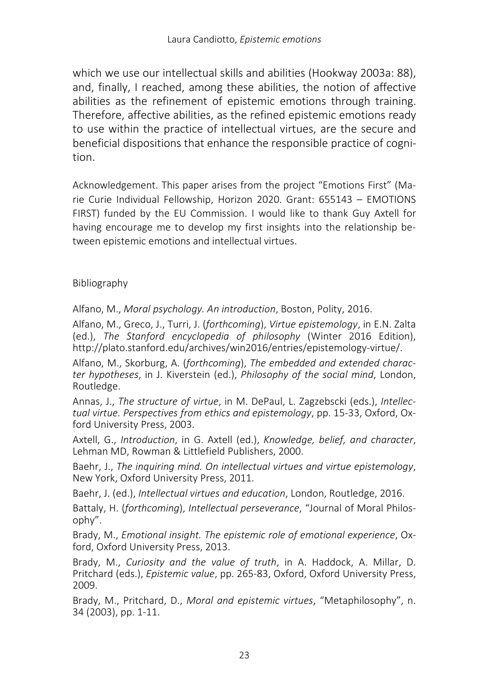which we use our intellectual skills and abilities (Hookway 2003a: 88), and, finally, I reached, among these abilities, the notion of affective abilities as the refinement of epistemic emotions through training. Therefore, affective abilities, as the refined epistemic emotions ready to use within the practice of intellectual virtues, are the secure and beneficial dispositions that enhance the responsible practice of cognition.

Acknowledgement. This paper arises from the project "Emotions First" (Marie Curie Individual Fellowship, Horizon 2020. Grant: 655143 – EMOTIONS FIRST) funded by the EU Commission. I would like to thank Guy Axtell for having encourage me to develop my first insights into the relationship between epistemic emotions and intellectual virtues.

Bibliography

Alfano, M., *Moral psychology. An introduction*, Boston, Polity, 2016.

Alfano, M., Greco, J., Turri, J. (*forthcoming*), *Virtue epistemology*, in E.N. Zalta (ed.), *The Stanford encyclopedia of philosophy* (Winter 2016 Edition), http://plato.stanford.edu/archives/win2016/entries/epistemology-virtue/.

Alfano, M., Skorburg, A. (*forthcoming*), *The embedded and extended character hypotheses*, in J. Kiverstein (ed.), *Philosophy of the social mind*, London, Routledge.

Annas, J., *The structure of virtue*, in M. DePaul, L. Zagzebscki (eds.), *Intellectual virtue. Perspectives from ethics and epistemology*, pp. 15-33, Oxford, Oxford University Press, 2003.

Axtell, G., *Introduction*, in G. Axtell (ed.), *Knowledge, belief, and character*, Lehman MD, Rowman & Littlefield Publishers, 2000.

Baehr, J., *The inquiring mind. On intellectual virtues and virtue epistemology*, New York, Oxford University Press, 2011.

Baehr, J. (ed.), *Intellectual virtues and education*, London, Routledge, 2016.

Battaly, H. (*forthcoming*), *Intellectual perseverance*, "Journal of Moral Philosophy".

Brady, M., *Emotional insight. The epistemic role of emotional experience*, Oxford, Oxford University Press, 2013.

Brady, M., *Curiosity and the value of truth*, in A. Haddock, A. Millar, D. Pritchard (eds.), *Epistemic value*, pp. 265-83, Oxford, Oxford University Press, 2009.

Brady, M., Pritchard, D., *Moral and epistemic virtues*, "Metaphilosophy", n. 34 (2003), pp. 1-11.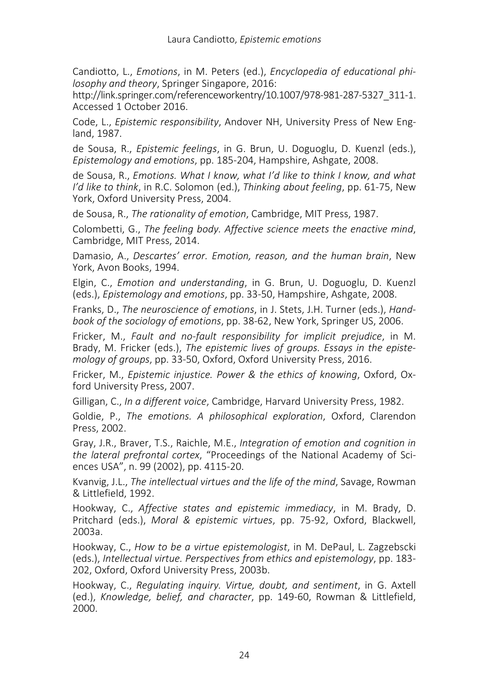Candiotto, L., *Emotions*, in M. Peters (ed.), *Encyclopedia of educational philosophy and theory*, Springer Singapore, 2016:

http://link.springer.com/referenceworkentry/10.1007/978-981-287-5327\_311-1. Accessed 1 October 2016.

Code, L., *Epistemic responsibility*, Andover NH, University Press of New England, 1987.

de Sousa, R., *Epistemic feelings*, in G. Brun, U. Doguoglu, D. Kuenzl (eds.), *Epistemology and emotions*, pp. 185-204, Hampshire, Ashgate, 2008.

de Sousa, R., *Emotions. What I know, what I'd like to think I know, and what I'd like to think*, in R.C. Solomon (ed.), *Thinking about feeling*, pp. 61-75, New York, Oxford University Press, 2004.

de Sousa, R., *The rationality of emotion*, Cambridge, MIT Press, 1987.

Colombetti, G., *The feeling body. Affective science meets the enactive mind*, Cambridge, MIT Press, 2014.

Damasio, A., *Descartes' error. Emotion, reason, and the human brain*, New York, Avon Books, 1994.

Elgin, C., *Emotion and understanding*, in G. Brun, U. Doguoglu, D. Kuenzl (eds.), *Epistemology and emotions*, pp. 33-50, Hampshire, Ashgate, 2008.

Franks, D., *The neuroscience of emotions*, in J. Stets, J.H. Turner (eds.), *Handbook of the sociology of emotions*, pp. 38-62, New York, Springer US, 2006.

Fricker, M., *Fault and no-fault responsibility for implicit prejudice*, in M. Brady, M. Fricker (eds.), *The epistemic lives of groups. Essays in the epistemology of groups*, pp. 33-50, Oxford, Oxford University Press, 2016.

Fricker, M., *Epistemic injustice. Power & the ethics of knowing*, Oxford, Oxford University Press, 2007.

Gilligan, C., *In a different voice*, Cambridge, Harvard University Press, 1982.

Goldie, P., *The emotions. A philosophical exploration*, Oxford, Clarendon Press, 2002.

Gray, J.R., Braver, T.S., Raichle, M.E., *Integration of emotion and cognition in the lateral prefrontal cortex*, "Proceedings of the National Academy of Sciences USA", n. 99 (2002), pp. 4115-20.

Kvanvig, J.L., *The intellectual virtues and the life of the mind*, Savage, Rowman & Littlefield, 1992.

Hookway, C., *Affective states and epistemic immediacy*, in M. Brady, D. Pritchard (eds.), *Moral & epistemic virtues*, pp. 75-92, Oxford, Blackwell, 2003a.

Hookway, C., *How to be a virtue epistemologist*, in M. DePaul, L. Zagzebscki (eds.), *Intellectual virtue. Perspectives from ethics and epistemology*, pp. 183- 202, Oxford, Oxford University Press, 2003b.

Hookway, C., *Regulating inquiry. Virtue, doubt, and sentiment*, in G. Axtell (ed.), *Knowledge, belief, and character*, pp. 149-60, Rowman & Littlefield, 2000.